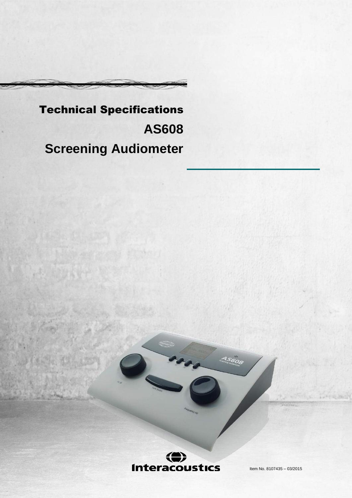# Technical Specifications **AS608 Screening Audiometer**



Item No. 8107435 – 03/2015

 $A5608$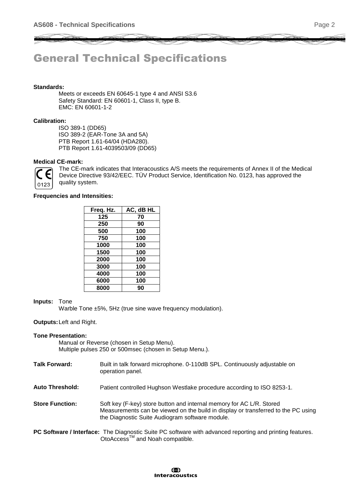# General Technical Specifications

## **Standards:**

Meets or exceeds EN 60645-1 type 4 and ANSI S3.6 Safety Standard: EN 60601-1, Class II, type B. EMC: EN 60601-1-2

#### **Calibration:**

ISO 389-1 (DD65) ISO 389-2 (EAR-Tone 3A and 5A) PTB Report 1.61-64/04 (HDA280). PTB Report 1.61-4039503/09 (DD65)

# **Medical CE-mark:**



The CE-mark indicates that Interacoustics A/S meets the requirements of Annex II of the Medical Device Directive 93/42/EEC. TÜV Product Service, Identification No. 0123, has approved the quality system.

#### **Frequencies and Intensities:**

| Freq. Hz. | AC, dB HL |
|-----------|-----------|
| 125       | 70        |
| 250       | 90        |
| 500       | 100       |
| 750       | 100       |
| 1000      | 100       |
| 1500      | 100       |
| 2000      | 100       |
| 3000      | 100       |
| 4000      | 100       |
| 6000      | 100       |
| 8000      | 90        |

#### **Inputs:** Tone

Warble Tone ±5%, 5Hz (true sine wave frequency modulation).

#### **Outputs:**Left and Right.

#### **Tone Presentation:**

Manual or Reverse (chosen in Setup Menu). Multiple pulses 250 or 500msec (chosen in Setup Menu.).

- **Talk Forward:** Built in talk forward microphone. 0-110dB SPL. Continuously adjustable on operation panel.
- **Auto Threshold:** Patient controlled Hughson Westlake procedure according to ISO 8253-1.
- **Store Function:** Soft key (F-key) store button and internal memory for AC L/R. Stored Measurements can be viewed on the build in display or transferred to the PC using the Diagnostic Suite Audiogram software module.
- **PC Software / Interface:** The Diagnostic Suite PC software with advanced reporting and printing features. OtoAccess<sup>™</sup> and Noah compatible.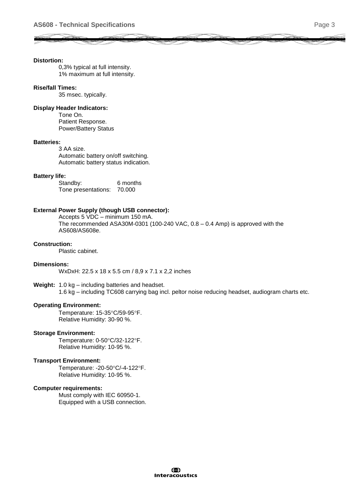#### **Distortion:**

0,3% typical at full intensity. 1% maximum at full intensity.

### **Rise/fall Times:**

35 msec. typically.

#### **Display Header Indicators:**

Tone On. Patient Response. Power/Battery Status

#### **Batteries:**

3 AA size. Automatic battery on/off switching. Automatic battery status indication.

#### **Battery life:**

Standby: 6 months Tone presentations: 70.000

## **External Power Supply (though USB connector):**

Accepts 5 VDC – minimum 150 mA. The recommended ASA30M-0301 (100-240 VAC,  $0.8 - 0.4$  Amp) is approved with the AS608/AS608e.

#### **Construction:**

Plastic cabinet.

#### **Dimensions:**

WxDxH: 22.5 x 18 x 5.5 cm / 8,9 x 7.1 x 2,2 inches

#### **Weight:** 1.0 kg – including batteries and headset.

1.6 kg – including TC608 carrying bag incl. peltor noise reducing headset, audiogram charts etc.

#### **Operating Environment:**

Temperature: 15-35°C/59-95°F. Relative Humidity: 30-90 %.

#### **Storage Environment:**

Temperature: 0-50°C/32-122°F. Relative Humidity: 10-95 %.

#### **Transport Environment:**

Temperature: - 20-50°C/-4-122°F. Relative Humidity: 10-95 %.

#### **Computer requirements:**

Must comply with IEC 60950-1. Equipped with a USB connection.